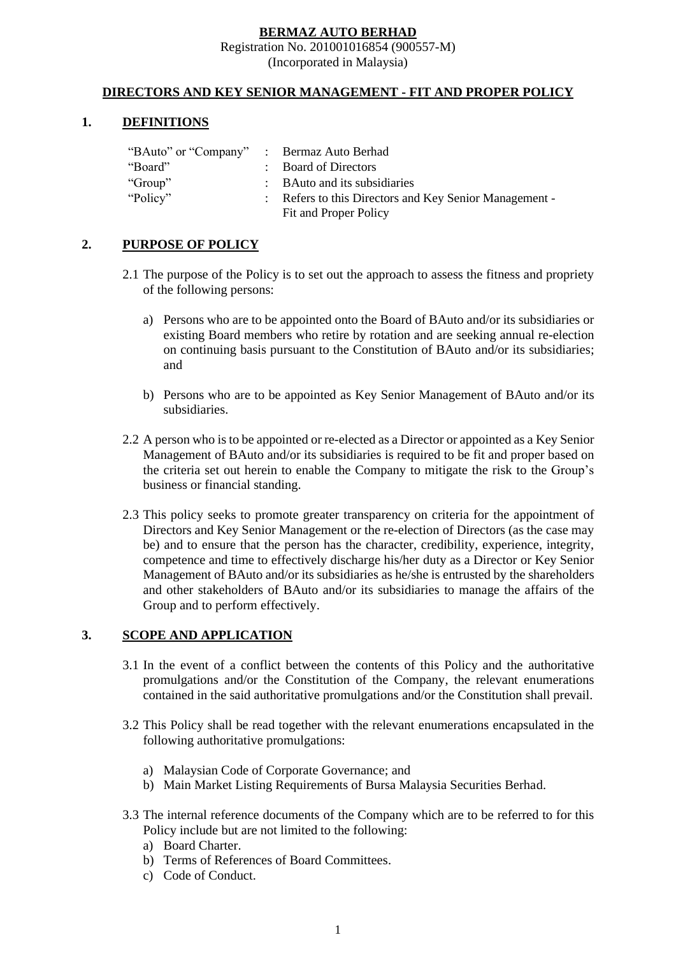### **BERMAZ AUTO BERHAD**

#### Registration No. 201001016854 (900557-M)

(Incorporated in Malaysia)

### **DIRECTORS AND KEY SENIOR MANAGEMENT - FIT AND PROPER POLICY**

#### **1. DEFINITIONS**

| "BAuto" or "Company" : Bermaz Auto Berhad |                                                      |
|-------------------------------------------|------------------------------------------------------|
| "Board"                                   | : Board of Directors                                 |
| "Group"                                   | : BAuto and its subsidiaries                         |
| "Policy"                                  | Refers to this Directors and Key Senior Management - |
|                                           | Fit and Proper Policy                                |

## **2. PURPOSE OF POLICY**

- 2.1 The purpose of the Policy is to set out the approach to assess the fitness and propriety of the following persons:
	- a) Persons who are to be appointed onto the Board of BAuto and/or its subsidiaries or existing Board members who retire by rotation and are seeking annual re-election on continuing basis pursuant to the Constitution of BAuto and/or its subsidiaries; and
	- b) Persons who are to be appointed as Key Senior Management of BAuto and/or its subsidiaries.
- 2.2 A person who is to be appointed or re-elected as a Director or appointed as a Key Senior Management of BAuto and/or its subsidiaries is required to be fit and proper based on the criteria set out herein to enable the Company to mitigate the risk to the Group's business or financial standing.
- 2.3 This policy seeks to promote greater transparency on criteria for the appointment of Directors and Key Senior Management or the re-election of Directors (as the case may be) and to ensure that the person has the character, credibility, experience, integrity, competence and time to effectively discharge his/her duty as a Director or Key Senior Management of BAuto and/or its subsidiaries as he/she is entrusted by the shareholders and other stakeholders of BAuto and/or its subsidiaries to manage the affairs of the Group and to perform effectively.

## **3. SCOPE AND APPLICATION**

- 3.1 In the event of a conflict between the contents of this Policy and the authoritative promulgations and/or the Constitution of the Company, the relevant enumerations contained in the said authoritative promulgations and/or the Constitution shall prevail.
- 3.2 This Policy shall be read together with the relevant enumerations encapsulated in the following authoritative promulgations:
	- a) Malaysian Code of Corporate Governance; and
	- b) Main Market Listing Requirements of Bursa Malaysia Securities Berhad.
- 3.3 The internal reference documents of the Company which are to be referred to for this Policy include but are not limited to the following:
	- a) Board Charter.
	- b) Terms of References of Board Committees.
	- c) Code of Conduct.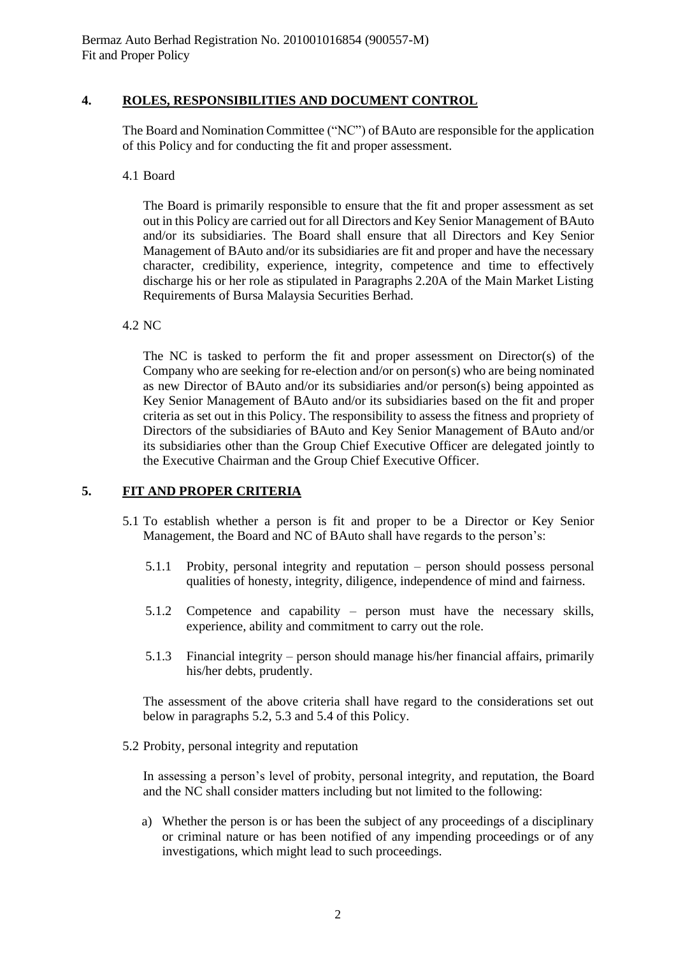## **4. ROLES, RESPONSIBILITIES AND DOCUMENT CONTROL**

The Board and Nomination Committee ("NC") of BAuto are responsible for the application of this Policy and for conducting the fit and proper assessment.

### 4.1 Board

The Board is primarily responsible to ensure that the fit and proper assessment as set out in this Policy are carried out for all Directors and Key Senior Management of BAuto and/or its subsidiaries. The Board shall ensure that all Directors and Key Senior Management of BAuto and/or its subsidiaries are fit and proper and have the necessary character, credibility, experience, integrity, competence and time to effectively discharge his or her role as stipulated in Paragraphs 2.20A of the Main Market Listing Requirements of Bursa Malaysia Securities Berhad.

4.2 NC

The NC is tasked to perform the fit and proper assessment on Director(s) of the Company who are seeking for re-election and/or on person(s) who are being nominated as new Director of BAuto and/or its subsidiaries and/or person(s) being appointed as Key Senior Management of BAuto and/or its subsidiaries based on the fit and proper criteria as set out in this Policy. The responsibility to assess the fitness and propriety of Directors of the subsidiaries of BAuto and Key Senior Management of BAuto and/or its subsidiaries other than the Group Chief Executive Officer are delegated jointly to the Executive Chairman and the Group Chief Executive Officer.

## **5. FIT AND PROPER CRITERIA**

- 5.1 To establish whether a person is fit and proper to be a Director or Key Senior Management, the Board and NC of BAuto shall have regards to the person's:
	- 5.1.1 Probity, personal integrity and reputation person should possess personal qualities of honesty, integrity, diligence, independence of mind and fairness.
	- 5.1.2 Competence and capability person must have the necessary skills, experience, ability and commitment to carry out the role.
	- 5.1.3 Financial integrity person should manage his/her financial affairs, primarily his/her debts, prudently.

The assessment of the above criteria shall have regard to the considerations set out below in paragraphs 5.2, 5.3 and 5.4 of this Policy.

5.2 Probity, personal integrity and reputation

In assessing a person's level of probity, personal integrity, and reputation, the Board and the NC shall consider matters including but not limited to the following:

a) Whether the person is or has been the subject of any proceedings of a disciplinary or criminal nature or has been notified of any impending proceedings or of any investigations, which might lead to such proceedings.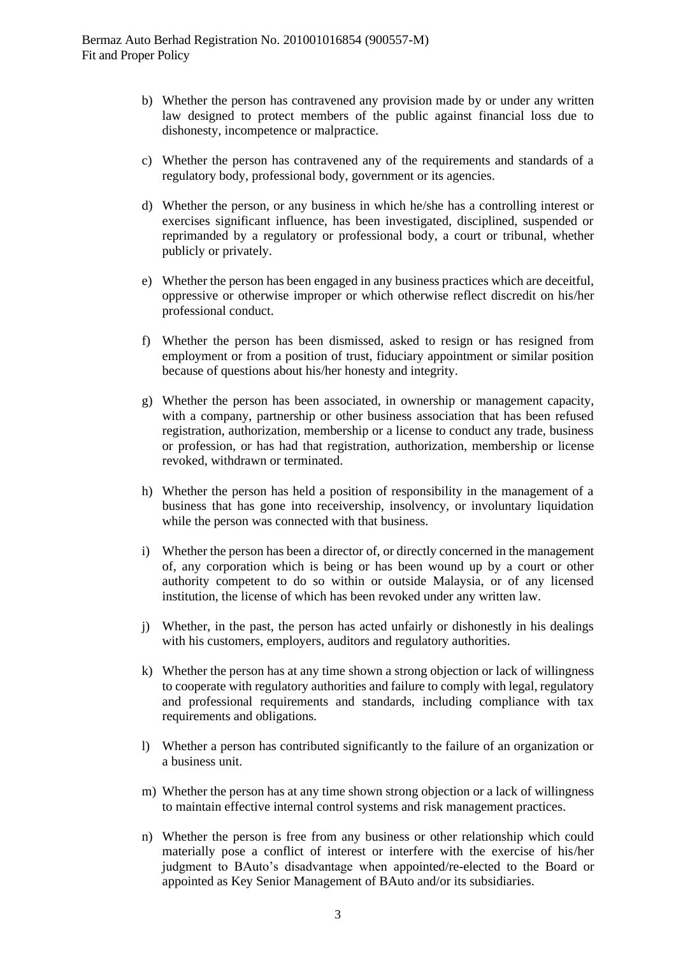- b) Whether the person has contravened any provision made by or under any written law designed to protect members of the public against financial loss due to dishonesty, incompetence or malpractice.
- c) Whether the person has contravened any of the requirements and standards of a regulatory body, professional body, government or its agencies.
- d) Whether the person, or any business in which he/she has a controlling interest or exercises significant influence, has been investigated, disciplined, suspended or reprimanded by a regulatory or professional body, a court or tribunal, whether publicly or privately.
- e) Whether the person has been engaged in any business practices which are deceitful, oppressive or otherwise improper or which otherwise reflect discredit on his/her professional conduct.
- f) Whether the person has been dismissed, asked to resign or has resigned from employment or from a position of trust, fiduciary appointment or similar position because of questions about his/her honesty and integrity.
- g) Whether the person has been associated, in ownership or management capacity, with a company, partnership or other business association that has been refused registration, authorization, membership or a license to conduct any trade, business or profession, or has had that registration, authorization, membership or license revoked, withdrawn or terminated.
- h) Whether the person has held a position of responsibility in the management of a business that has gone into receivership, insolvency, or involuntary liquidation while the person was connected with that business.
- i) Whether the person has been a director of, or directly concerned in the management of, any corporation which is being or has been wound up by a court or other authority competent to do so within or outside Malaysia, or of any licensed institution, the license of which has been revoked under any written law.
- j) Whether, in the past, the person has acted unfairly or dishonestly in his dealings with his customers, employers, auditors and regulatory authorities.
- k) Whether the person has at any time shown a strong objection or lack of willingness to cooperate with regulatory authorities and failure to comply with legal, regulatory and professional requirements and standards, including compliance with tax requirements and obligations.
- l) Whether a person has contributed significantly to the failure of an organization or a business unit.
- m) Whether the person has at any time shown strong objection or a lack of willingness to maintain effective internal control systems and risk management practices.
- n) Whether the person is free from any business or other relationship which could materially pose a conflict of interest or interfere with the exercise of his/her judgment to BAuto's disadvantage when appointed/re-elected to the Board or appointed as Key Senior Management of BAuto and/or its subsidiaries.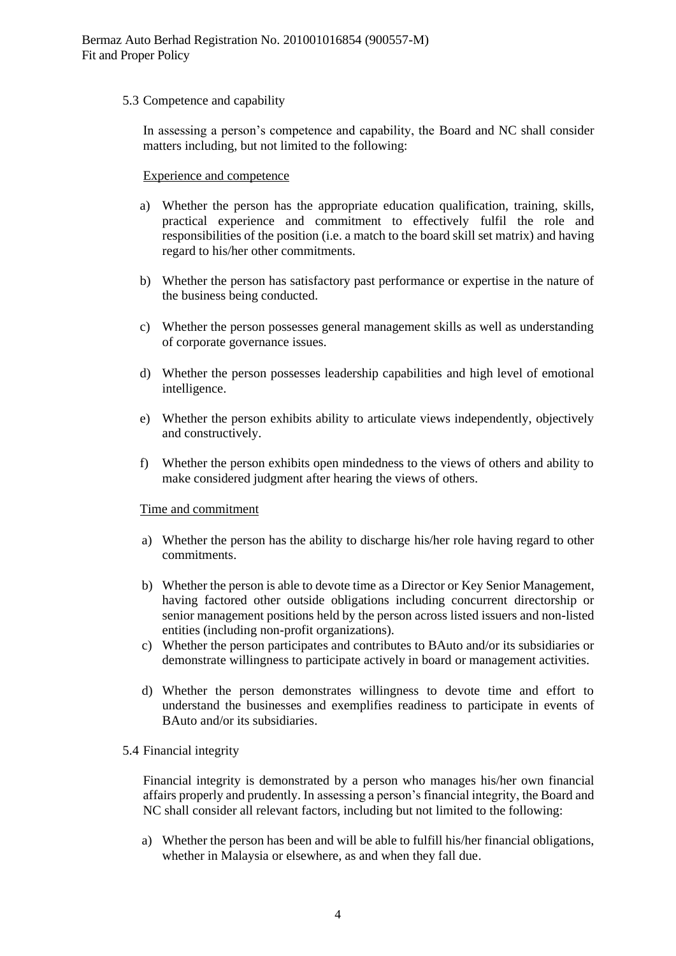## 5.3 Competence and capability

In assessing a person's competence and capability, the Board and NC shall consider matters including, but not limited to the following:

#### Experience and competence

- a) Whether the person has the appropriate education qualification, training, skills, practical experience and commitment to effectively fulfil the role and responsibilities of the position (i.e. a match to the board skill set matrix) and having regard to his/her other commitments.
- b) Whether the person has satisfactory past performance or expertise in the nature of the business being conducted.
- c) Whether the person possesses general management skills as well as understanding of corporate governance issues.
- d) Whether the person possesses leadership capabilities and high level of emotional intelligence.
- e) Whether the person exhibits ability to articulate views independently, objectively and constructively.
- f) Whether the person exhibits open mindedness to the views of others and ability to make considered judgment after hearing the views of others.

#### Time and commitment

- a) Whether the person has the ability to discharge his/her role having regard to other commitments.
- b) Whether the person is able to devote time as a Director or Key Senior Management, having factored other outside obligations including concurrent directorship or senior management positions held by the person across listed issuers and non-listed entities (including non-profit organizations).
- c) Whether the person participates and contributes to BAuto and/or its subsidiaries or demonstrate willingness to participate actively in board or management activities.
- d) Whether the person demonstrates willingness to devote time and effort to understand the businesses and exemplifies readiness to participate in events of BAuto and/or its subsidiaries.

#### 5.4 Financial integrity

Financial integrity is demonstrated by a person who manages his/her own financial affairs properly and prudently. In assessing a person's financial integrity, the Board and NC shall consider all relevant factors, including but not limited to the following:

a) Whether the person has been and will be able to fulfill his/her financial obligations, whether in Malaysia or elsewhere, as and when they fall due.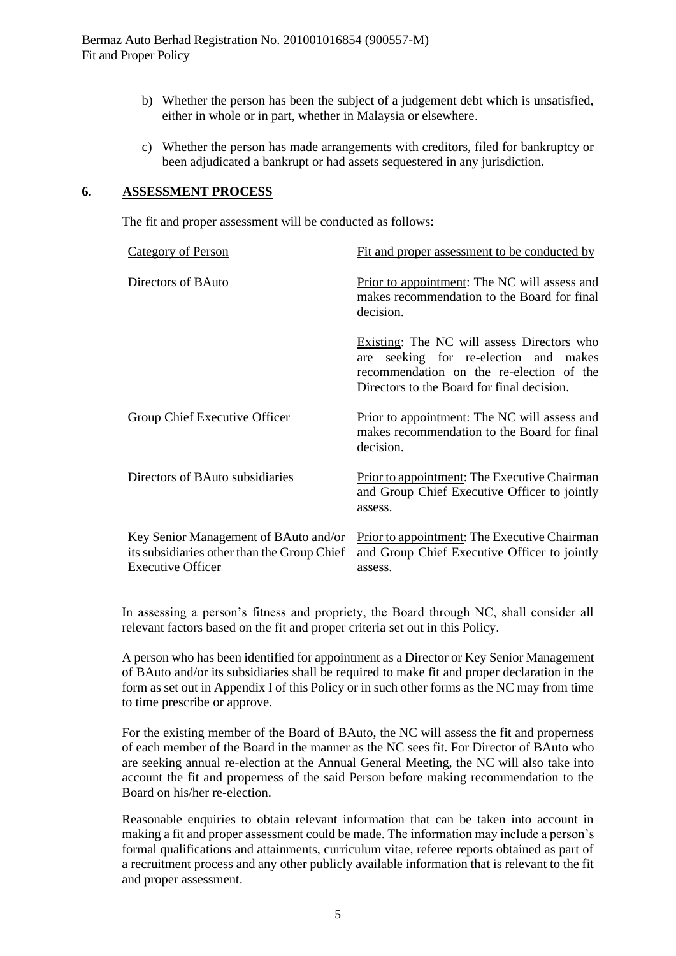Bermaz Auto Berhad Registration No. 201001016854 (900557-M) Fit and Proper Policy

- b) Whether the person has been the subject of a judgement debt which is unsatisfied, either in whole or in part, whether in Malaysia or elsewhere.
- c) Whether the person has made arrangements with creditors, filed for bankruptcy or been adjudicated a bankrupt or had assets sequestered in any jurisdiction.

#### **6. ASSESSMENT PROCESS**

The fit and proper assessment will be conducted as follows:

| Category of Person                                                                                               | Fit and proper assessment to be conducted by                                                                                                                                     |
|------------------------------------------------------------------------------------------------------------------|----------------------------------------------------------------------------------------------------------------------------------------------------------------------------------|
| Directors of BAuto                                                                                               | Prior to appointment: The NC will assess and<br>makes recommendation to the Board for final<br>decision.                                                                         |
|                                                                                                                  | Existing: The NC will assess Directors who<br>seeking for re-election and makes<br>are<br>recommendation on the re-election of the<br>Directors to the Board for final decision. |
| Group Chief Executive Officer                                                                                    | Prior to appointment: The NC will assess and<br>makes recommendation to the Board for final<br>decision.                                                                         |
| Directors of BAuto subsidiaries                                                                                  | <b>Prior to appointment:</b> The Executive Chairman<br>and Group Chief Executive Officer to jointly<br>assess.                                                                   |
| Key Senior Management of BAuto and/or<br>its subsidiaries other than the Group Chief<br><b>Executive Officer</b> | <b>Prior to appointment:</b> The Executive Chairman<br>and Group Chief Executive Officer to jointly<br>assess.                                                                   |

In assessing a person's fitness and propriety, the Board through NC, shall consider all relevant factors based on the fit and proper criteria set out in this Policy.

A person who has been identified for appointment as a Director or Key Senior Management of BAuto and/or its subsidiaries shall be required to make fit and proper declaration in the form as set out in Appendix I of this Policy or in such other forms as the NC may from time to time prescribe or approve.

For the existing member of the Board of BAuto, the NC will assess the fit and properness of each member of the Board in the manner as the NC sees fit. For Director of BAuto who are seeking annual re-election at the Annual General Meeting, the NC will also take into account the fit and properness of the said Person before making recommendation to the Board on his/her re-election.

Reasonable enquiries to obtain relevant information that can be taken into account in making a fit and proper assessment could be made. The information may include a person's formal qualifications and attainments, curriculum vitae, referee reports obtained as part of a recruitment process and any other publicly available information that is relevant to the fit and proper assessment.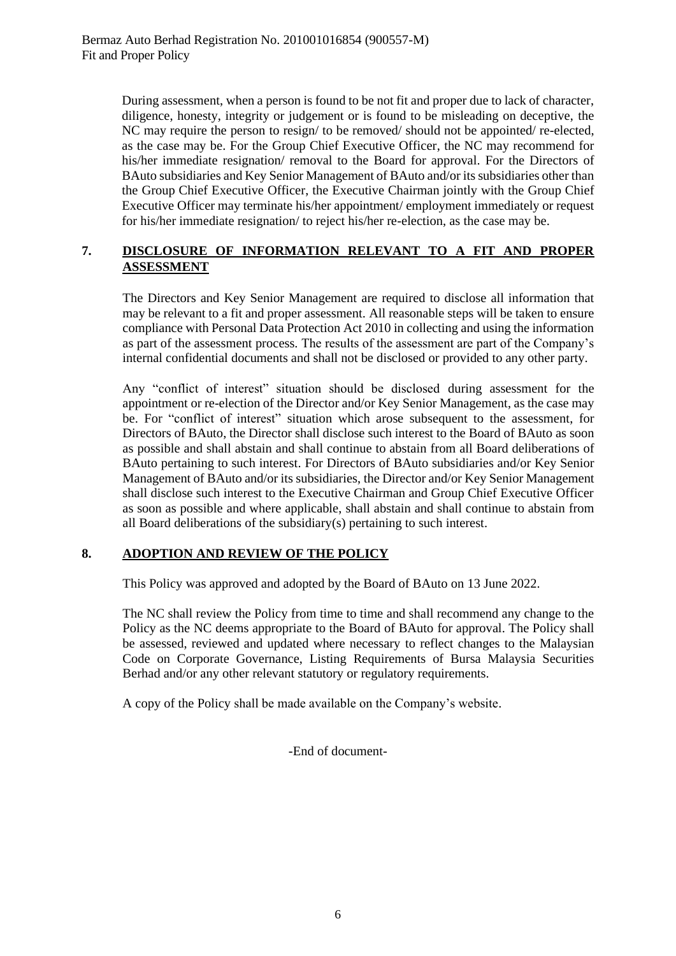During assessment, when a person is found to be not fit and proper due to lack of character, diligence, honesty, integrity or judgement or is found to be misleading on deceptive, the NC may require the person to resign/ to be removed/ should not be appointed/ re-elected, as the case may be. For the Group Chief Executive Officer, the NC may recommend for his/her immediate resignation/ removal to the Board for approval. For the Directors of BAuto subsidiaries and Key Senior Management of BAuto and/or its subsidiaries other than the Group Chief Executive Officer, the Executive Chairman jointly with the Group Chief Executive Officer may terminate his/her appointment/ employment immediately or request for his/her immediate resignation/ to reject his/her re-election, as the case may be.

## **7. DISCLOSURE OF INFORMATION RELEVANT TO A FIT AND PROPER ASSESSMENT**

The Directors and Key Senior Management are required to disclose all information that may be relevant to a fit and proper assessment. All reasonable steps will be taken to ensure compliance with Personal Data Protection Act 2010 in collecting and using the information as part of the assessment process. The results of the assessment are part of the Company's internal confidential documents and shall not be disclosed or provided to any other party.

Any "conflict of interest" situation should be disclosed during assessment for the appointment or re-election of the Director and/or Key Senior Management, as the case may be. For "conflict of interest" situation which arose subsequent to the assessment, for Directors of BAuto, the Director shall disclose such interest to the Board of BAuto as soon as possible and shall abstain and shall continue to abstain from all Board deliberations of BAuto pertaining to such interest. For Directors of BAuto subsidiaries and/or Key Senior Management of BAuto and/or its subsidiaries, the Director and/or Key Senior Management shall disclose such interest to the Executive Chairman and Group Chief Executive Officer as soon as possible and where applicable, shall abstain and shall continue to abstain from all Board deliberations of the subsidiary(s) pertaining to such interest.

## **8. ADOPTION AND REVIEW OF THE POLICY**

This Policy was approved and adopted by the Board of BAuto on 13 June 2022.

The NC shall review the Policy from time to time and shall recommend any change to the Policy as the NC deems appropriate to the Board of BAuto for approval. The Policy shall be assessed, reviewed and updated where necessary to reflect changes to the Malaysian Code on Corporate Governance, Listing Requirements of Bursa Malaysia Securities Berhad and/or any other relevant statutory or regulatory requirements.

A copy of the Policy shall be made available on the Company's website.

-End of document-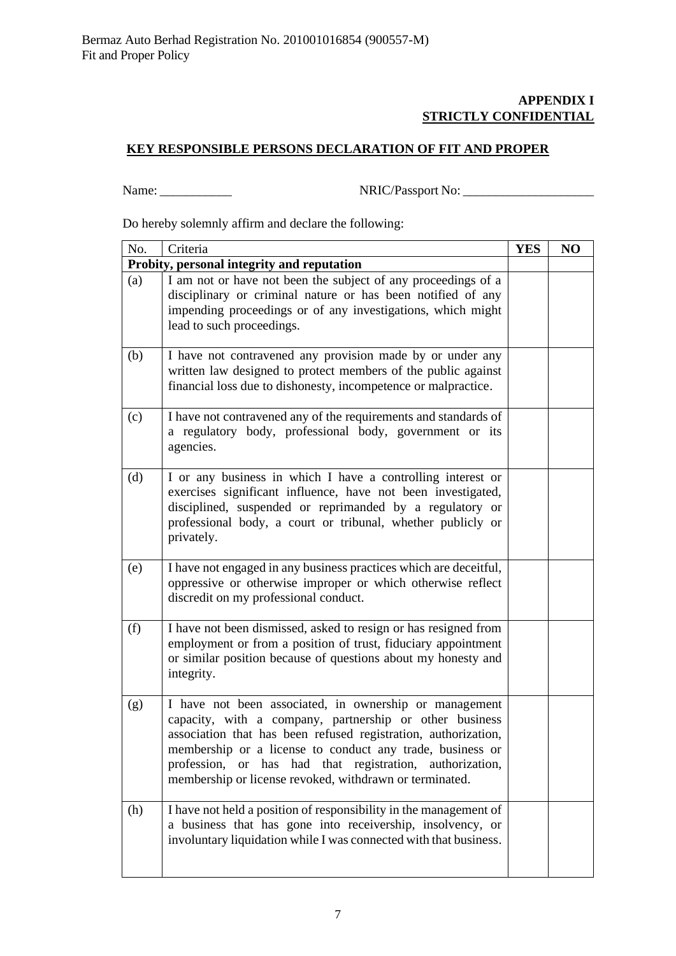## **APPENDIX I STRICTLY CONFIDENTIAL**

# **KEY RESPONSIBLE PERSONS DECLARATION OF FIT AND PROPER**

Name: \_\_\_\_\_\_\_\_\_\_\_ NRIC/Passport No: \_\_\_\_\_\_\_\_\_\_\_\_\_\_\_\_\_\_\_\_

Do hereby solemnly affirm and declare the following:

| No. | Criteria                                                                                                                                                                                                                                                                                                                                                                | <b>YES</b> | NO |
|-----|-------------------------------------------------------------------------------------------------------------------------------------------------------------------------------------------------------------------------------------------------------------------------------------------------------------------------------------------------------------------------|------------|----|
|     | Probity, personal integrity and reputation                                                                                                                                                                                                                                                                                                                              |            |    |
| (a) | I am not or have not been the subject of any proceedings of a<br>disciplinary or criminal nature or has been notified of any<br>impending proceedings or of any investigations, which might<br>lead to such proceedings.                                                                                                                                                |            |    |
| (b) | I have not contravened any provision made by or under any<br>written law designed to protect members of the public against<br>financial loss due to dishonesty, incompetence or malpractice.                                                                                                                                                                            |            |    |
| (c) | I have not contravened any of the requirements and standards of<br>a regulatory body, professional body, government or its<br>agencies.                                                                                                                                                                                                                                 |            |    |
| (d) | I or any business in which I have a controlling interest or<br>exercises significant influence, have not been investigated,<br>disciplined, suspended or reprimanded by a regulatory or<br>professional body, a court or tribunal, whether publicly or<br>privately.                                                                                                    |            |    |
| (e) | I have not engaged in any business practices which are deceitful,<br>oppressive or otherwise improper or which otherwise reflect<br>discredit on my professional conduct.                                                                                                                                                                                               |            |    |
| (f) | I have not been dismissed, asked to resign or has resigned from<br>employment or from a position of trust, fiduciary appointment<br>or similar position because of questions about my honesty and<br>integrity.                                                                                                                                                         |            |    |
| (g) | I have not been associated, in ownership or management<br>capacity, with a company, partnership or other business<br>association that has been refused registration, authorization,<br>membership or a license to conduct any trade, business or<br>profession, or has had that registration, authorization,<br>membership or license revoked, withdrawn or terminated. |            |    |
| (h) | I have not held a position of responsibility in the management of<br>a business that has gone into receivership, insolvency, or<br>involuntary liquidation while I was connected with that business.                                                                                                                                                                    |            |    |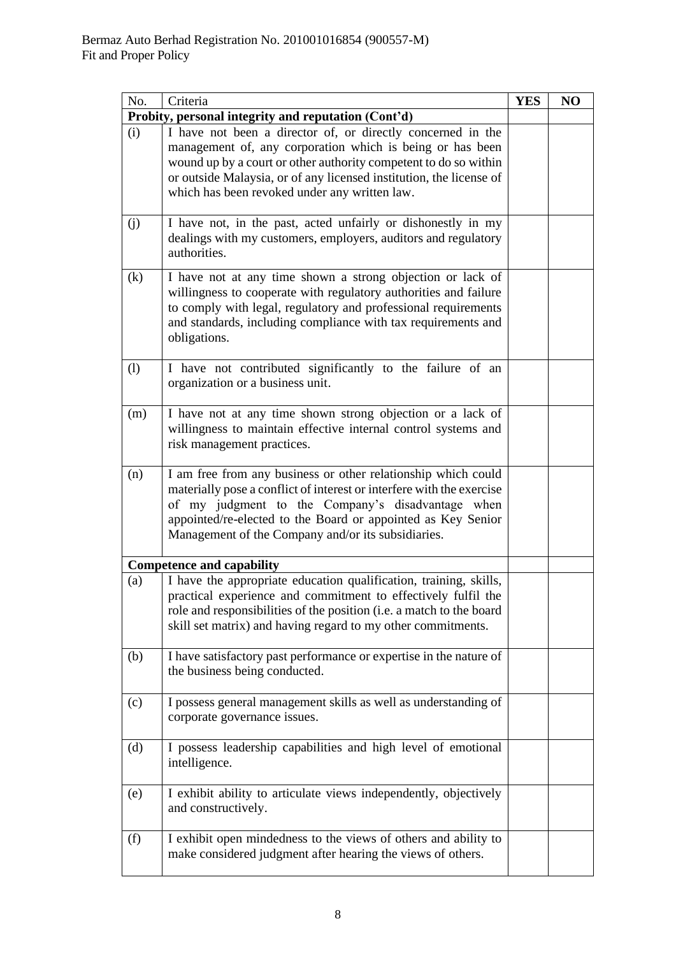| No. | Criteria                                                                                                                                                                                                                                                                                                             | <b>YES</b> | NO |
|-----|----------------------------------------------------------------------------------------------------------------------------------------------------------------------------------------------------------------------------------------------------------------------------------------------------------------------|------------|----|
|     | Probity, personal integrity and reputation (Cont'd)                                                                                                                                                                                                                                                                  |            |    |
| (i) | I have not been a director of, or directly concerned in the<br>management of, any corporation which is being or has been<br>wound up by a court or other authority competent to do so within<br>or outside Malaysia, or of any licensed institution, the license of<br>which has been revoked under any written law. |            |    |
| (j) | I have not, in the past, acted unfairly or dishonestly in my<br>dealings with my customers, employers, auditors and regulatory<br>authorities.                                                                                                                                                                       |            |    |
| (k) | I have not at any time shown a strong objection or lack of<br>willingness to cooperate with regulatory authorities and failure<br>to comply with legal, regulatory and professional requirements<br>and standards, including compliance with tax requirements and<br>obligations.                                    |            |    |
| (1) | I have not contributed significantly to the failure of an<br>organization or a business unit.                                                                                                                                                                                                                        |            |    |
| (m) | I have not at any time shown strong objection or a lack of<br>willingness to maintain effective internal control systems and<br>risk management practices.                                                                                                                                                           |            |    |
| (n) | I am free from any business or other relationship which could<br>materially pose a conflict of interest or interfere with the exercise<br>of my judgment to the Company's disadvantage when<br>appointed/re-elected to the Board or appointed as Key Senior<br>Management of the Company and/or its subsidiaries.    |            |    |
|     | <b>Competence and capability</b>                                                                                                                                                                                                                                                                                     |            |    |
| (a) | I have the appropriate education qualification, training, skills,<br>practical experience and commitment to effectively fulfil the<br>role and responsibilities of the position (i.e. a match to the board<br>skill set matrix) and having regard to my other commitments.                                           |            |    |
| (b) | I have satisfactory past performance or expertise in the nature of<br>the business being conducted.                                                                                                                                                                                                                  |            |    |
| (c) | I possess general management skills as well as understanding of<br>corporate governance issues.                                                                                                                                                                                                                      |            |    |
| (d) | I possess leadership capabilities and high level of emotional<br>intelligence.                                                                                                                                                                                                                                       |            |    |
| (e) | I exhibit ability to articulate views independently, objectively<br>and constructively.                                                                                                                                                                                                                              |            |    |
| (f) | I exhibit open mindedness to the views of others and ability to<br>make considered judgment after hearing the views of others.                                                                                                                                                                                       |            |    |